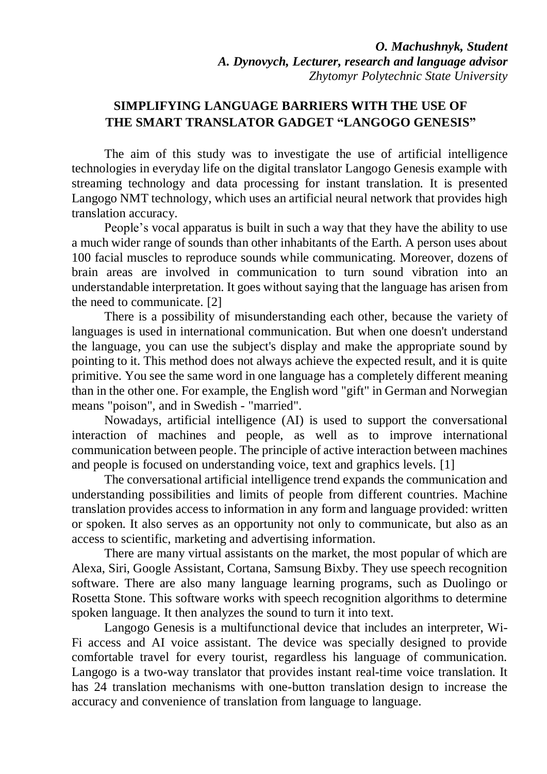## **SIMPLIFYING LANGUAGE BARRIERS WITH THE USE OF THE SMART TRANSLATOR GADGET "LANGOGO GENESIS"**

The aim of this study was to investigate the use of artificial intelligence technologies in everyday life on the digital translator Langogo Genesis example with streaming technology and data processing for instant translation. It is presented Langogo NMT technology, which uses an artificial neural network that provides high translation accuracy.

People's vocal apparatus is built in such a way that they have the ability to use a much wider range of sounds than other inhabitants of the Earth. A person uses about 100 facial muscles to reproduce sounds while communicating. Moreover, dozens of brain areas are involved in communication to turn sound vibration into an understandable interpretation. It goes without saying that the language has arisen from the need to communicate. [2]

There is a possibility of misunderstanding each other, because the variety of languages is used in international communication. But when one doesn't understand the language, you can use the subject's display and make the appropriate sound by pointing to it. This method does not always achieve the expected result, and it is quite primitive. You see the same word in one language has a completely different meaning than in the other one. For example, the English word "gift" in German and Norwegian means "poison", and in Swedish - "married".

Nowadays, artificial intelligence (AI) is used to support the conversational interaction of machines and people, as well as to improve international communication between people. The principle of active interaction between machines and people is focused on understanding voice, text and graphics levels. [1]

The conversational artificial intelligence trend expands the communication and understanding possibilities and limits of people from different countries. Machine translation provides access to information in any form and language provided: written or spoken. It also serves as an opportunity not only to communicate, but also as an access to scientific, marketing and advertising information.

There are many virtual assistants on the market, the most popular of which are Alexa, Siri, Google Assistant, Cortana, Samsung Bixby. They use speech recognition software. There are also many language learning programs, such as Duolingo or Rosetta Stone. This software works with speech recognition algorithms to determine spoken language. It then analyzes the sound to turn it into text.

Langogo Genesis is a multifunctional device that includes an interpreter, Wi-Fi access and AI voice assistant. The device was specially designed to provide comfortable travel for every tourist, regardless his language of communication. Langogo is a two-way translator that provides instant real-time voice translation. It has 24 translation mechanisms with one-button translation design to increase the accuracy and convenience of translation from language to language.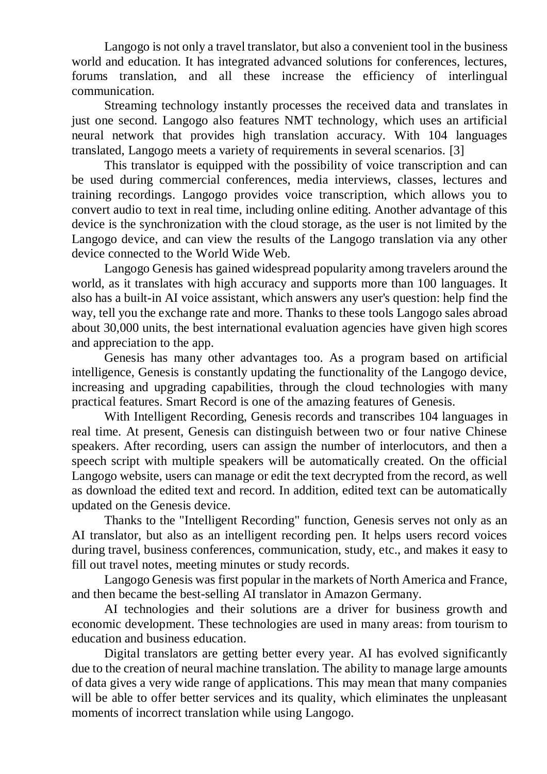Langogo is not only a travel translator, but also a convenient tool in the business world and education. It has integrated advanced solutions for conferences, lectures, forums translation, and all these increase the efficiency of interlingual communication.

Streaming technology instantly processes the received data and translates in just one second. Langogo also features NMT technology, which uses an artificial neural network that provides high translation accuracy. With 104 languages translated, Langogo meets a variety of requirements in several scenarios. [3]

This translator is equipped with the possibility of voice transcription and can be used during commercial conferences, media interviews, classes, lectures and training recordings. Langogo provides voice transcription, which allows you to convert audio to text in real time, including online editing. Another advantage of this device is the synchronization with the cloud storage, as the user is not limited by the Langogo device, and can view the results of the Langogo translation via any other device connected to the World Wide Web.

Langogo Genesis has gained widespread popularity among travelers around the world, as it translates with high accuracy and supports more than 100 languages. It also has a built-in AI voice assistant, which answers any user's question: help find the way, tell you the exchange rate and more. Thanks to these tools Langogo sales abroad about 30,000 units, the best international evaluation agencies have given high scores and appreciation to the app.

Genesis has many other advantages too. As a program based on artificial intelligence, Genesis is constantly updating the functionality of the Langogo device, increasing and upgrading capabilities, through the cloud technologies with many practical features. Smart Record is one of the amazing features of Genesis.

With Intelligent Recording, Genesis records and transcribes 104 languages in real time. At present, Genesis can distinguish between two or four native Chinese speakers. After recording, users can assign the number of interlocutors, and then a speech script with multiple speakers will be automatically created. On the official Langogo website, users can manage or edit the text decrypted from the record, as well as download the edited text and record. In addition, edited text can be automatically updated on the Genesis device.

Thanks to the "Intelligent Recording" function, Genesis serves not only as an AI translator, but also as an intelligent recording pen. It helps users record voices during travel, business conferences, communication, study, etc., and makes it easy to fill out travel notes, meeting minutes or study records.

Langogo Genesis was first popular in the markets of North America and France, and then became the best-selling AI translator in Amazon Germany.

AI technologies and their solutions are a driver for business growth and economic development. These technologies are used in many areas: from tourism to education and business education.

Digital translators are getting better every year. AI has evolved significantly due to the creation of neural machine translation. The ability to manage large amounts of data gives a very wide range of applications. This may mean that many companies will be able to offer better services and its quality, which eliminates the unpleasant moments of incorrect translation while using Langogo.